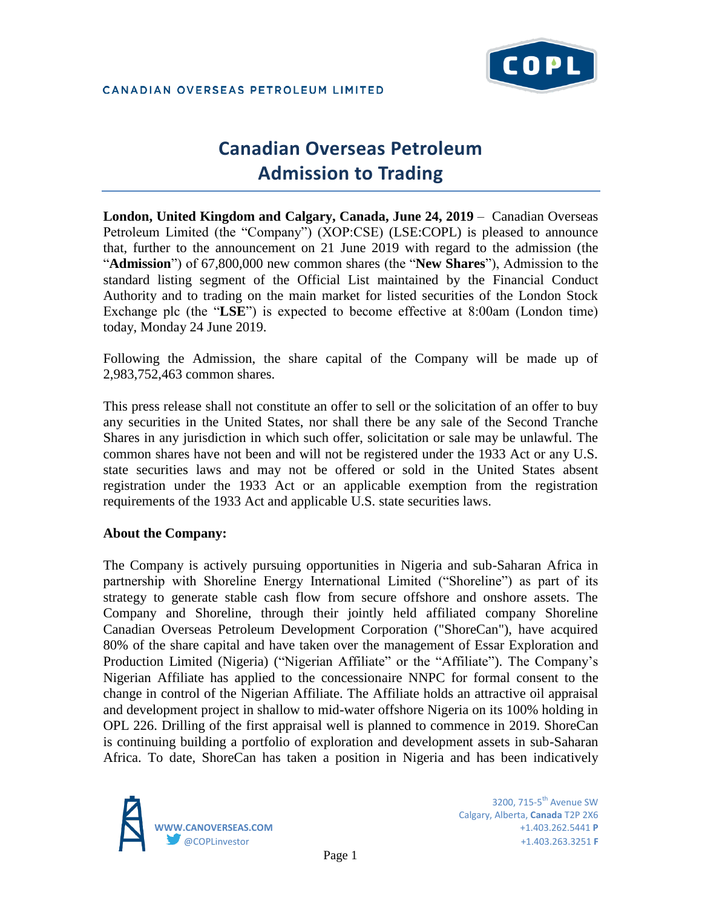

# **Canadian Overseas Petroleum Admission to Trading**

**London, United Kingdom and Calgary, Canada, June 24, 2019** – Canadian Overseas Petroleum Limited (the "Company") (XOP:CSE) (LSE:COPL) is pleased to announce that, further to the announcement on 21 June 2019 with regard to the admission (the "**Admission**") of 67,800,000 new common shares (the "**New Shares**"), Admission to the standard listing segment of the Official List maintained by the Financial Conduct Authority and to trading on the main market for listed securities of the London Stock Exchange plc (the "**LSE**") is expected to become effective at 8:00am (London time) today, Monday 24 June 2019.

Following the Admission, the share capital of the Company will be made up of 2,983,752,463 common shares.

This press release shall not constitute an offer to sell or the solicitation of an offer to buy any securities in the United States, nor shall there be any sale of the Second Tranche Shares in any jurisdiction in which such offer, solicitation or sale may be unlawful. The common shares have not been and will not be registered under the 1933 Act or any U.S. state securities laws and may not be offered or sold in the United States absent registration under the 1933 Act or an applicable exemption from the registration requirements of the 1933 Act and applicable U.S. state securities laws.

# **About the Company:**

The Company is actively pursuing opportunities in Nigeria and sub-Saharan Africa in partnership with Shoreline Energy International Limited ("Shoreline") as part of its strategy to generate stable cash flow from secure offshore and onshore assets. The Company and Shoreline, through their jointly held affiliated company Shoreline Canadian Overseas Petroleum Development Corporation ("ShoreCan"), have acquired 80% of the share capital and have taken over the management of Essar Exploration and Production Limited (Nigeria) ("Nigerian Affiliate" or the "Affiliate"). The Company's Nigerian Affiliate has applied to the concessionaire NNPC for formal consent to the change in control of the Nigerian Affiliate. The Affiliate holds an attractive oil appraisal and development project in shallow to mid-water offshore Nigeria on its 100% holding in OPL 226. Drilling of the first appraisal well is planned to commence in 2019. ShoreCan is continuing building a portfolio of exploration and development assets in sub-Saharan Africa. To date, ShoreCan has taken a position in Nigeria and has been indicatively

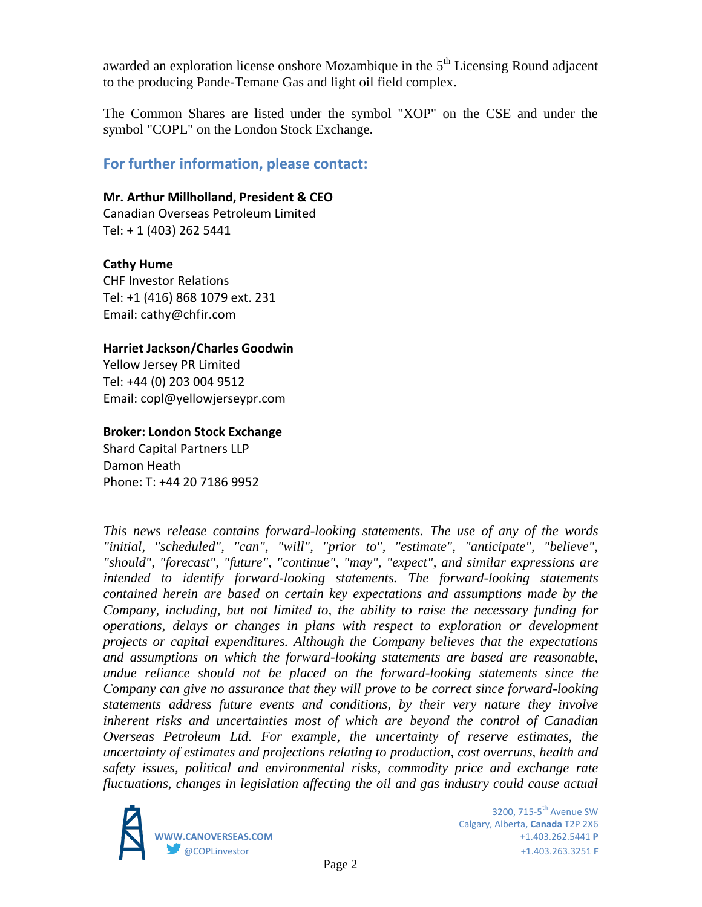awarded an exploration license onshore Mozambique in the  $5<sup>th</sup>$  Licensing Round adjacent to the producing Pande-Temane Gas and light oil field complex.

The Common Shares are listed under the symbol "XOP" on the CSE and under the symbol "COPL" on the London Stock Exchange.

# **For further information, please contact:**

#### **Mr. Arthur Millholland, President & CEO**

Canadian Overseas Petroleum Limited Tel: + 1 (403) 262 5441

# **Cathy Hume**

CHF Investor Relations Tel: +1 (416) 868 1079 ext. 231 Email: cathy@chfir.com

#### **Harriet Jackson/Charles Goodwin**

Yellow Jersey PR Limited Tel: +44 (0) 203 004 9512 Email: copl@yellowjerseypr.com

# **Broker: London Stock Exchange**

Shard Capital Partners LLP Damon Heath Phone: T: +44 20 7186 9952

*This news release contains forward-looking statements. The use of any of the words "initial, "scheduled", "can", "will", "prior to", "estimate", "anticipate", "believe", "should", "forecast", "future", "continue", "may", "expect", and similar expressions are intended to identify forward-looking statements. The forward-looking statements contained herein are based on certain key expectations and assumptions made by the Company, including, but not limited to, the ability to raise the necessary funding for operations, delays or changes in plans with respect to exploration or development projects or capital expenditures. Although the Company believes that the expectations and assumptions on which the forward-looking statements are based are reasonable, undue reliance should not be placed on the forward-looking statements since the Company can give no assurance that they will prove to be correct since forward-looking statements address future events and conditions, by their very nature they involve inherent risks and uncertainties most of which are beyond the control of Canadian Overseas Petroleum Ltd. For example, the uncertainty of reserve estimates, the uncertainty of estimates and projections relating to production, cost overruns, health and safety issues, political and environmental risks, commodity price and exchange rate fluctuations, changes in legislation affecting the oil and gas industry could cause actual*